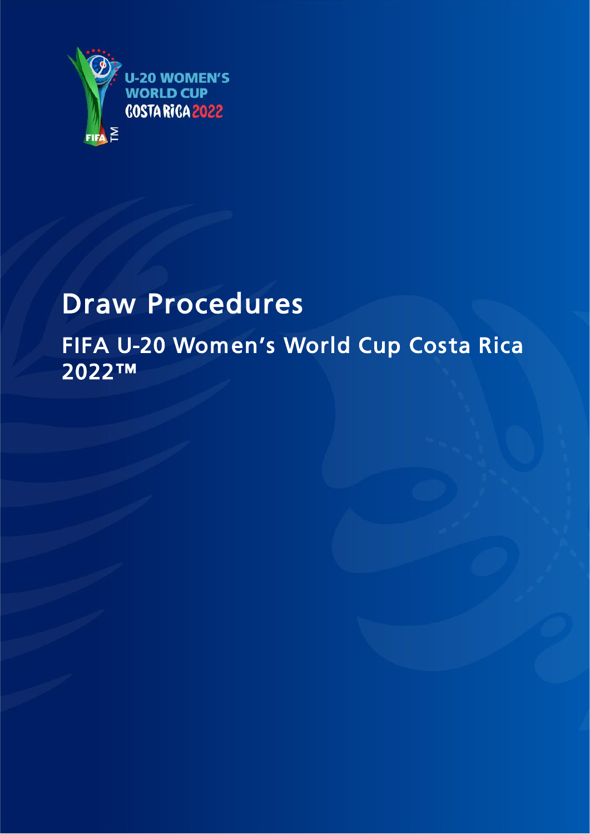

# Draw Procedures FIFA U-20 Women's World Cup Costa Rica 2022™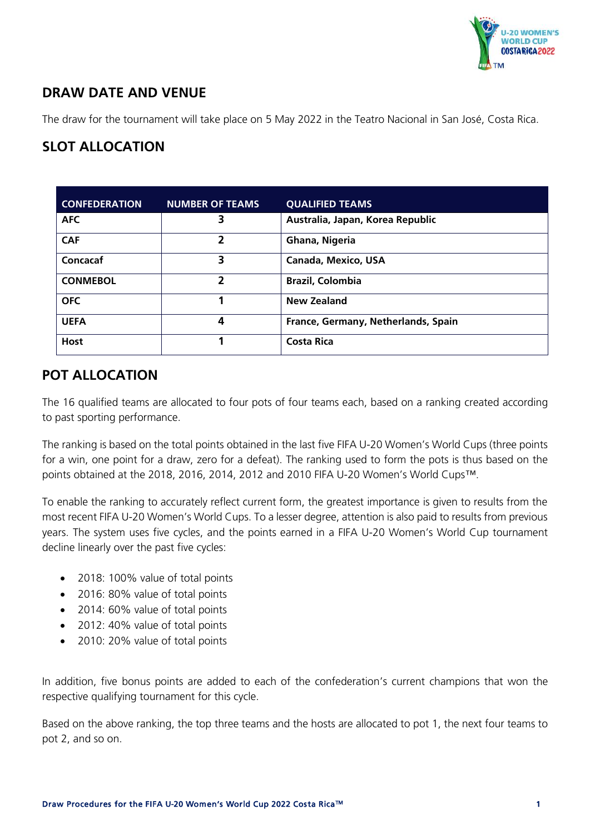

## **DRAW DATE AND VENUE**

The draw for the tournament will take place on 5 May 2022 in the Teatro Nacional in San José, Costa Rica.

## **SLOT ALLOCATION**

| <b>CONFEDERATION</b> | <b>NUMBER OF TEAMS</b> | <b>QUALIFIED TEAMS</b>              |  |
|----------------------|------------------------|-------------------------------------|--|
| <b>AFC</b>           | 3                      | Australia, Japan, Korea Republic    |  |
| <b>CAF</b>           | 2                      | Ghana, Nigeria                      |  |
| Concacaf             | 3                      | <b>Canada, Mexico, USA</b>          |  |
| <b>CONMEBOL</b>      | 2                      | <b>Brazil, Colombia</b>             |  |
| <b>OFC</b>           |                        | <b>New Zealand</b>                  |  |
| <b>UEFA</b>          | Δ                      | France, Germany, Netherlands, Spain |  |
| <b>Host</b>          |                        | <b>Costa Rica</b>                   |  |

#### **POT ALLOCATION**

The 16 qualified teams are allocated to four pots of four teams each, based on a ranking created according to past sporting performance.

The ranking is based on the total points obtained in the last five FIFA U-20 Women's World Cups (three points for a win, one point for a draw, zero for a defeat). The ranking used to form the pots is thus based on the points obtained at the 2018, 2016, 2014, 2012 and 2010 FIFA U-20 Women's World Cups™.

To enable the ranking to accurately reflect current form, the greatest importance is given to results from the most recent FIFA U-20 Women's World Cups. To a lesser degree, attention is also paid to results from previous years. The system uses five cycles, and the points earned in a FIFA U-20 Women's World Cup tournament decline linearly over the past five cycles:

- 2018: 100% value of total points
- 2016: 80% value of total points
- 2014: 60% value of total points
- 2012: 40% value of total points
- 2010: 20% value of total points

In addition, five bonus points are added to each of the confederation's current champions that won the respective qualifying tournament for this cycle.

Based on the above ranking, the top three teams and the hosts are allocated to pot 1, the next four teams to pot 2, and so on.